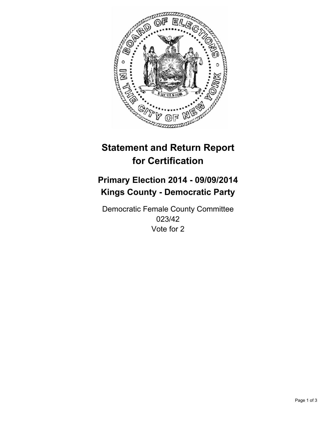

# **Statement and Return Report for Certification**

## **Primary Election 2014 - 09/09/2014 Kings County - Democratic Party**

Democratic Female County Committee 023/42 Vote for 2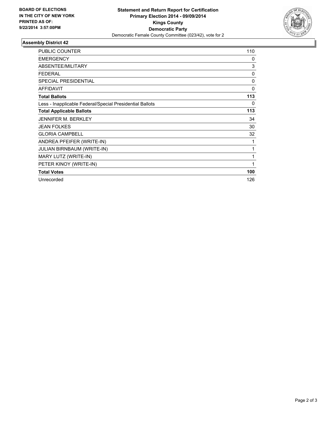

### **Assembly District 42**

| <b>PUBLIC COUNTER</b>                                    | 110      |
|----------------------------------------------------------|----------|
| <b>EMERGENCY</b>                                         | 0        |
| ABSENTEE/MILITARY                                        | 3        |
| <b>FEDERAL</b>                                           | 0        |
| <b>SPECIAL PRESIDENTIAL</b>                              | 0        |
| <b>AFFIDAVIT</b>                                         | $\Omega$ |
| <b>Total Ballots</b>                                     | 113      |
| Less - Inapplicable Federal/Special Presidential Ballots | 0        |
| <b>Total Applicable Ballots</b>                          | 113      |
| <b>JENNIFER M. BERKLEY</b>                               | 34       |
| <b>JEAN FOLKES</b>                                       | 30       |
| <b>GLORIA CAMPBELL</b>                                   | 32       |
| ANDREA PFEIFER (WRITE-IN)                                | 1        |
| <b>JULIAN BIRNBAUM (WRITE-IN)</b>                        | 1        |
| MARY LUTZ (WRITE-IN)                                     | 1        |
| PETER KINOY (WRITE-IN)                                   | 1        |
| <b>Total Votes</b>                                       | 100      |
| Unrecorded                                               | 126      |